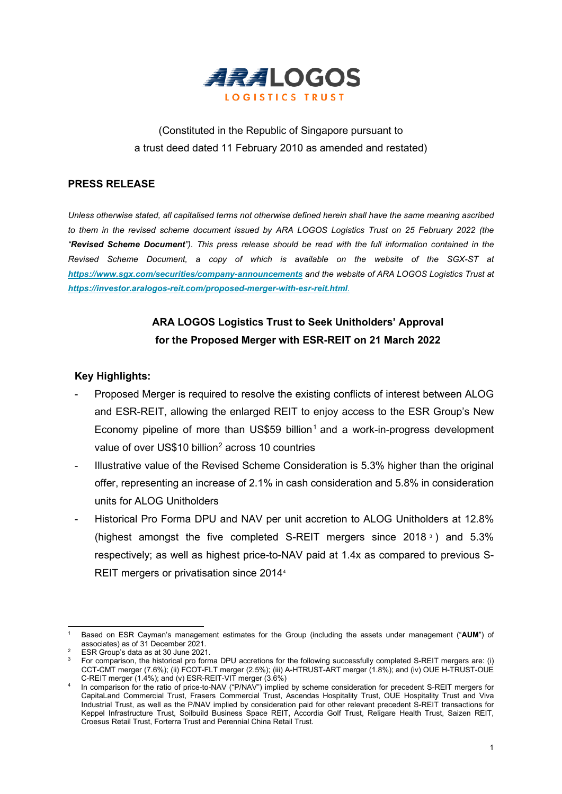

# (Constituted in the Republic of Singapore pursuant to a trust deed dated 11 February 2010 as amended and restated)

## **PRESS RELEASE**

*Unless otherwise stated, all capitalised terms not otherwise defined herein shall have the same meaning ascribed to them in the revised scheme document issued by ARA LOGOS Logistics Trust on 25 February 2022 (the "Revised Scheme Document"). This press release should be read with the full information contained in the Revised Scheme Document, a copy of which is available on the website of the SGX-ST at <https://www.sgx.com/securities/company-announcements> and the website of ARA LOGOS Logistics Trust at <https://investor.aralogos-reit.com/proposed-merger-with-esr-reit.html>*.

## **ARA LOGOS Logistics Trust to Seek Unitholders' Approval for the Proposed Merger with ESR-REIT on 21 March 2022**

### **Key Highlights:**

- Proposed Merger is required to resolve the existing conflicts of interest between ALOG and ESR-REIT, allowing the enlarged REIT to enjoy access to the ESR Group's New Economy pipeline of more than US\$59 billion<sup>[1](#page-0-0)</sup> and a work-in-progress development value of over US\$10 billion<sup>[2](#page-0-1)</sup> across 10 countries
- Illustrative value of the Revised Scheme Consideration is 5.3% higher than the original offer, representing an increase of 2.1% in cash consideration and 5.8% in consideration units for ALOG Unitholders
- Historical Pro Forma DPU and NAV per unit accretion to ALOG Unitholders at 12.8% (highest amongst the five completed S-REIT mergers since 2018  $\degree$ ) and 5.[3](#page-0-2)% respectively; as well as highest price-to-NAV paid at 1.4x as compared to previous S-REIT mergers or privatisation since 201[4](#page-0-3)<sup>4</sup>

<span id="page-0-0"></span><sup>1</sup> Based on ESR Cayman's management estimates for the Group (including the assets under management ("**AUM**") of associates) as of 31 December 2021.<br>ESR Group's data as at 30 June 2021.

 $2^2$  ESR Group's data as at 30 June 2021.

<span id="page-0-2"></span><span id="page-0-1"></span> $3$  For comparison, the historical pro forma DPU accretions for the following successfully completed S-REIT mergers are: (i) CCT-CMT merger (7.6%); (ii) FCOT-FLT merger (2.5%); (iii) A-HTRUST-ART merger (1.8%); and (iv) OUE H-TRUST-OUE C-REIT merger (1.4%); and (v) ESR-REIT-VIT merger (3.6%)

<span id="page-0-3"></span><sup>4</sup> In comparison for the ratio of price-to-NAV ("P/NAV") implied by scheme consideration for precedent S-REIT mergers for CapitaLand Commercial Trust, Frasers Commercial Trust, Ascendas Hospitality Trust, OUE Hospitality Trust and Viva Industrial Trust, as well as the P/NAV implied by consideration paid for other relevant precedent S-REIT transactions for Keppel Infrastructure Trust, Soilbuild Business Space REIT, Accordia Golf Trust, Religare Health Trust, Saizen REIT, Croesus Retail Trust, Forterra Trust and Perennial China Retail Trust.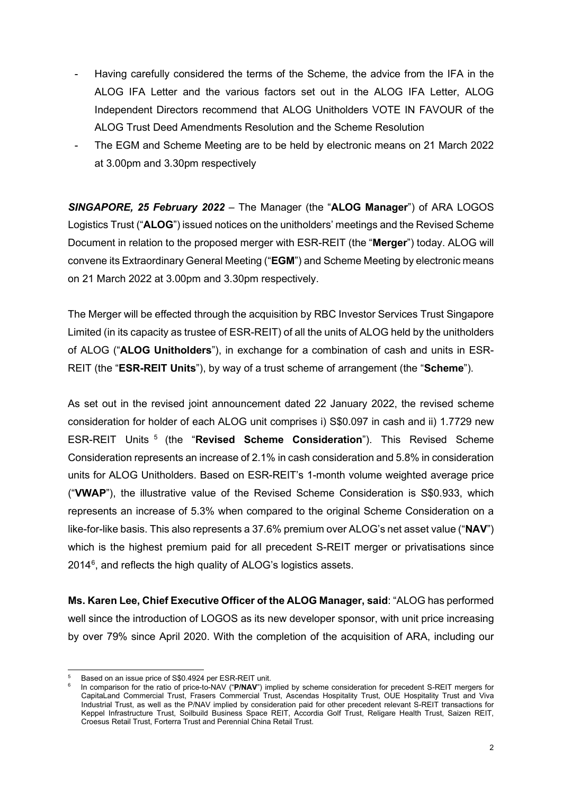- Having carefully considered the terms of the Scheme, the advice from the IFA in the ALOG IFA Letter and the various factors set out in the ALOG IFA Letter, ALOG Independent Directors recommend that ALOG Unitholders VOTE IN FAVOUR of the ALOG Trust Deed Amendments Resolution and the Scheme Resolution
- The EGM and Scheme Meeting are to be held by electronic means on 21 March 2022 at 3.00pm and 3.30pm respectively

*SINGAPORE, 25 February 2022* – The Manager (the "**ALOG Manager**") of ARA LOGOS Logistics Trust ("**ALOG**") issued notices on the unitholders' meetings and the Revised Scheme Document in relation to the proposed merger with ESR-REIT (the "**Merger**") today. ALOG will convene its Extraordinary General Meeting ("**EGM**") and Scheme Meeting by electronic means on 21 March 2022 at 3.00pm and 3.30pm respectively.

The Merger will be effected through the acquisition by RBC Investor Services Trust Singapore Limited (in its capacity as trustee of ESR-REIT) of all the units of ALOG held by the unitholders of ALOG ("**ALOG Unitholders**"), in exchange for a combination of cash and units in ESR-REIT (the "**ESR-REIT Units**"), by way of a trust scheme of arrangement (the "**Scheme**").

As set out in the revised joint announcement dated 22 January 2022, the revised scheme consideration for holder of each ALOG unit comprises i) S\$0.097 in cash and ii) 1.7729 new ESR-REIT Units [5](#page-1-0) (the "**Revised Scheme Consideration**"). This Revised Scheme Consideration represents an increase of 2.1% in cash consideration and 5.8% in consideration units for ALOG Unitholders. Based on ESR-REIT's 1-month volume weighted average price ("**VWAP**"), the illustrative value of the Revised Scheme Consideration is S\$0.933, which represents an increase of 5.3% when compared to the original Scheme Consideration on a like-for-like basis. This also represents a 37.6% premium over ALOG's net asset value ("**NAV**") which is the highest premium paid for all precedent S-REIT merger or privatisations since 2014<sup>[6](#page-1-1)</sup>, and reflects the high quality of ALOG's logistics assets.

**Ms. Karen Lee, Chief Executive Officer of the ALOG Manager, said**: "ALOG has performed well since the introduction of LOGOS as its new developer sponsor, with unit price increasing by over 79% since April 2020. With the completion of the acquisition of ARA, including our

<span id="page-1-1"></span><span id="page-1-0"></span><sup>5</sup> Based on an issue price of S\$0.4924 per ESR-REIT unit.

In comparison for the ratio of price-to-NAV ("P/NAV") implied by scheme consideration for precedent S-REIT mergers for CapitaLand Commercial Trust, Frasers Commercial Trust, Ascendas Hospitality Trust, OUE Hospitality Trust and Viva Industrial Trust, as well as the P/NAV implied by consideration paid for other precedent relevant S-REIT transactions for Keppel Infrastructure Trust, Soilbuild Business Space REIT, Accordia Golf Trust, Religare Health Trust, Saizen REIT, Croesus Retail Trust, Forterra Trust and Perennial China Retail Trust.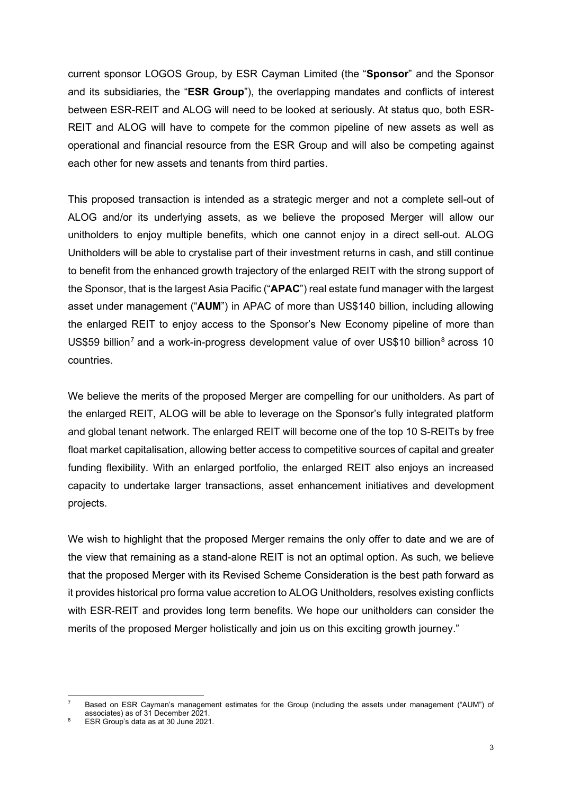current sponsor LOGOS Group, by ESR Cayman Limited (the "**Sponsor**" and the Sponsor and its subsidiaries, the "**ESR Group**"), the overlapping mandates and conflicts of interest between ESR-REIT and ALOG will need to be looked at seriously. At status quo, both ESR-REIT and ALOG will have to compete for the common pipeline of new assets as well as operational and financial resource from the ESR Group and will also be competing against each other for new assets and tenants from third parties.

This proposed transaction is intended as a strategic merger and not a complete sell-out of ALOG and/or its underlying assets, as we believe the proposed Merger will allow our unitholders to enjoy multiple benefits, which one cannot enjoy in a direct sell-out. ALOG Unitholders will be able to crystalise part of their investment returns in cash, and still continue to benefit from the enhanced growth trajectory of the enlarged REIT with the strong support of the Sponsor, that is the largest Asia Pacific ("**APAC**") real estate fund manager with the largest asset under management ("**AUM**") in APAC of more than US\$140 billion, including allowing the enlarged REIT to enjoy access to the Sponsor's New Economy pipeline of more than US\$59 billion<sup>[7](#page-2-0)</sup> and a work-in-progress development value of over US\$10 billion<sup>[8](#page-2-1)</sup> across 10 countries.

We believe the merits of the proposed Merger are compelling for our unitholders. As part of the enlarged REIT, ALOG will be able to leverage on the Sponsor's fully integrated platform and global tenant network. The enlarged REIT will become one of the top 10 S-REITs by free float market capitalisation, allowing better access to competitive sources of capital and greater funding flexibility. With an enlarged portfolio, the enlarged REIT also enjoys an increased capacity to undertake larger transactions, asset enhancement initiatives and development projects.

We wish to highlight that the proposed Merger remains the only offer to date and we are of the view that remaining as a stand-alone REIT is not an optimal option. As such, we believe that the proposed Merger with its Revised Scheme Consideration is the best path forward as it provides historical pro forma value accretion to ALOG Unitholders, resolves existing conflicts with ESR-REIT and provides long term benefits. We hope our unitholders can consider the merits of the proposed Merger holistically and join us on this exciting growth journey."

<span id="page-2-0"></span>Based on ESR Cayman's management estimates for the Group (including the assets under management ("AUM") of associates) as of 31 December 2021.

<span id="page-2-1"></span>ESR Group's data as at 30 June 2021.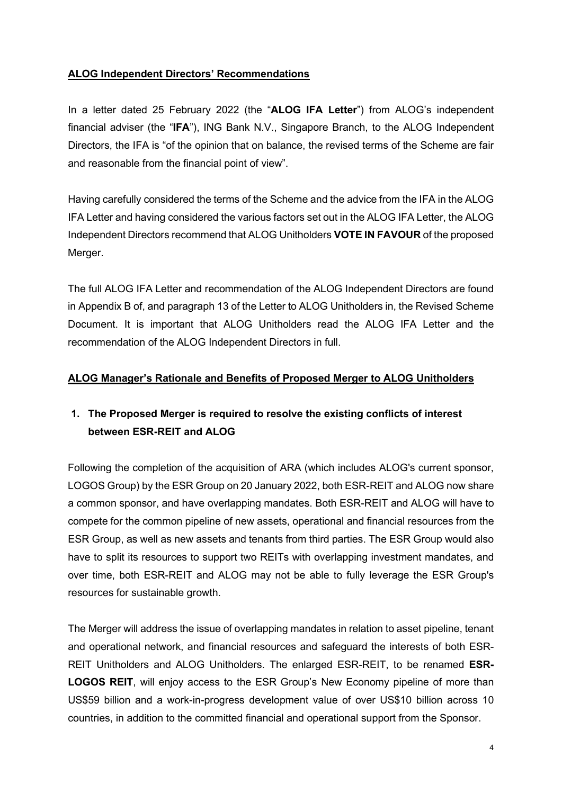## **ALOG Independent Directors' Recommendations**

In a letter dated 25 February 2022 (the "**ALOG IFA Letter**") from ALOG's independent financial adviser (the "**IFA**"), ING Bank N.V., Singapore Branch, to the ALOG Independent Directors, the IFA is "of the opinion that on balance, the revised terms of the Scheme are fair and reasonable from the financial point of view".

Having carefully considered the terms of the Scheme and the advice from the IFA in the ALOG IFA Letter and having considered the various factors set out in the ALOG IFA Letter, the ALOG Independent Directors recommend that ALOG Unitholders **VOTE IN FAVOUR** of the proposed Merger.

The full ALOG IFA Letter and recommendation of the ALOG Independent Directors are found in Appendix B of, and paragraph 13 of the Letter to ALOG Unitholders in, the Revised Scheme Document. It is important that ALOG Unitholders read the ALOG IFA Letter and the recommendation of the ALOG Independent Directors in full.

### **ALOG Manager's Rationale and Benefits of Proposed Merger to ALOG Unitholders**

## **1. The Proposed Merger is required to resolve the existing conflicts of interest between ESR-REIT and ALOG**

Following the completion of the acquisition of ARA (which includes ALOG's current sponsor, LOGOS Group) by the ESR Group on 20 January 2022, both ESR-REIT and ALOG now share a common sponsor, and have overlapping mandates. Both ESR-REIT and ALOG will have to compete for the common pipeline of new assets, operational and financial resources from the ESR Group, as well as new assets and tenants from third parties. The ESR Group would also have to split its resources to support two REITs with overlapping investment mandates, and over time, both ESR-REIT and ALOG may not be able to fully leverage the ESR Group's resources for sustainable growth.

The Merger will address the issue of overlapping mandates in relation to asset pipeline, tenant and operational network, and financial resources and safeguard the interests of both ESR-REIT Unitholders and ALOG Unitholders. The enlarged ESR-REIT, to be renamed **ESR-LOGOS REIT**, will enjoy access to the ESR Group's New Economy pipeline of more than US\$59 billion and a work-in-progress development value of over US\$10 billion across 10 countries, in addition to the committed financial and operational support from the Sponsor.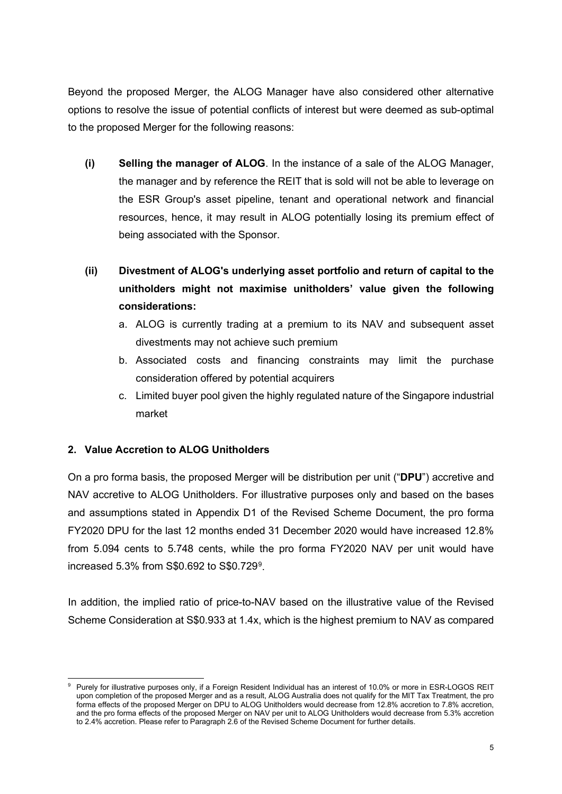Beyond the proposed Merger, the ALOG Manager have also considered other alternative options to resolve the issue of potential conflicts of interest but were deemed as sub-optimal to the proposed Merger for the following reasons:

- **(i) Selling the manager of ALOG**. In the instance of a sale of the ALOG Manager, the manager and by reference the REIT that is sold will not be able to leverage on the ESR Group's asset pipeline, tenant and operational network and financial resources, hence, it may result in ALOG potentially losing its premium effect of being associated with the Sponsor.
- **(ii) Divestment of ALOG's underlying asset portfolio and return of capital to the unitholders might not maximise unitholders' value given the following considerations:** 
	- a. ALOG is currently trading at a premium to its NAV and subsequent asset divestments may not achieve such premium
	- b. Associated costs and financing constraints may limit the purchase consideration offered by potential acquirers
	- c. Limited buyer pool given the highly regulated nature of the Singapore industrial market

## **2. Value Accretion to ALOG Unitholders**

On a pro forma basis, the proposed Merger will be distribution per unit ("**DPU**") accretive and NAV accretive to ALOG Unitholders. For illustrative purposes only and based on the bases and assumptions stated in Appendix D1 of the Revised Scheme Document, the pro forma FY2020 DPU for the last 12 months ended 31 December 2020 would have increased 12.8% from 5.094 cents to 5.748 cents, while the pro forma FY2020 NAV per unit would have increased 5.3% from S\$0.6[9](#page-4-0)2 to S\$0.729 $^{\rm 9}$ .

In addition, the implied ratio of price-to-NAV based on the illustrative value of the Revised Scheme Consideration at S\$0.933 at 1.4x, which is the highest premium to NAV as compared

<span id="page-4-0"></span>Purely for illustrative purposes only, if a Foreign Resident Individual has an interest of 10.0% or more in ESR-LOGOS REIT upon completion of the proposed Merger and as a result, ALOG Australia does not qualify for the MIT Tax Treatment, the pro forma effects of the proposed Merger on DPU to ALOG Unitholders would decrease from 12.8% accretion to 7.8% accretion, and the pro forma effects of the proposed Merger on NAV per unit to ALOG Unitholders would decrease from 5.3% accretion to 2.4% accretion. Please refer to Paragraph 2.6 of the Revised Scheme Document for further details.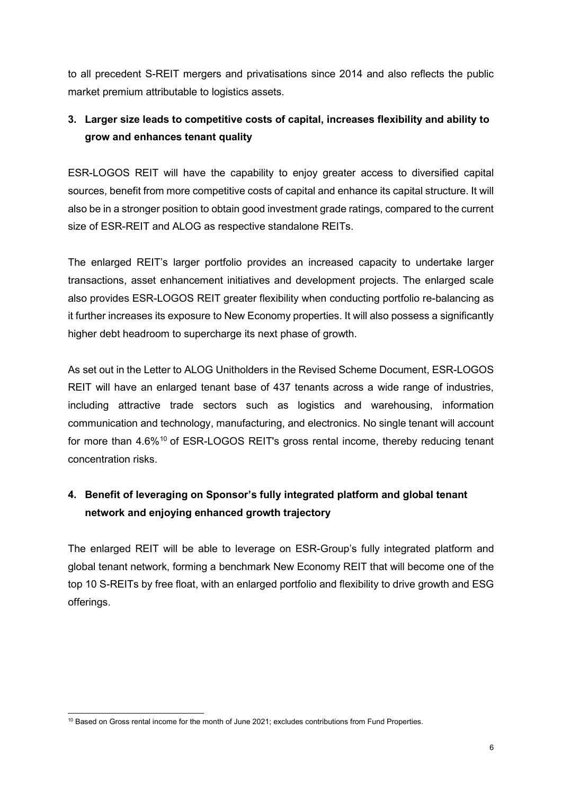to all precedent S-REIT mergers and privatisations since 2014 and also reflects the public market premium attributable to logistics assets.

# **3. Larger size leads to competitive costs of capital, increases flexibility and ability to grow and enhances tenant quality**

ESR-LOGOS REIT will have the capability to enjoy greater access to diversified capital sources, benefit from more competitive costs of capital and enhance its capital structure. It will also be in a stronger position to obtain good investment grade ratings, compared to the current size of ESR-REIT and ALOG as respective standalone REITs.

The enlarged REIT's larger portfolio provides an increased capacity to undertake larger transactions, asset enhancement initiatives and development projects. The enlarged scale also provides ESR-LOGOS REIT greater flexibility when conducting portfolio re-balancing as it further increases its exposure to New Economy properties. It will also possess a significantly higher debt headroom to supercharge its next phase of growth.

As set out in the Letter to ALOG Unitholders in the Revised Scheme Document, ESR-LOGOS REIT will have an enlarged tenant base of 437 tenants across a wide range of industries, including attractive trade sectors such as logistics and warehousing, information communication and technology, manufacturing, and electronics. No single tenant will account for more than 4.6%<sup>10</sup> of ESR-LOGOS REIT's gross rental income, thereby reducing tenant concentration risks.

# **4. Benefit of leveraging on Sponsor's fully integrated platform and global tenant network and enjoying enhanced growth trajectory**

The enlarged REIT will be able to leverage on ESR-Group's fully integrated platform and global tenant network, forming a benchmark New Economy REIT that will become one of the top 10 S-REITs by free float, with an enlarged portfolio and flexibility to drive growth and ESG offerings.

<span id="page-5-0"></span><sup>&</sup>lt;sup>10</sup> Based on Gross rental income for the month of June 2021; excludes contributions from Fund Properties.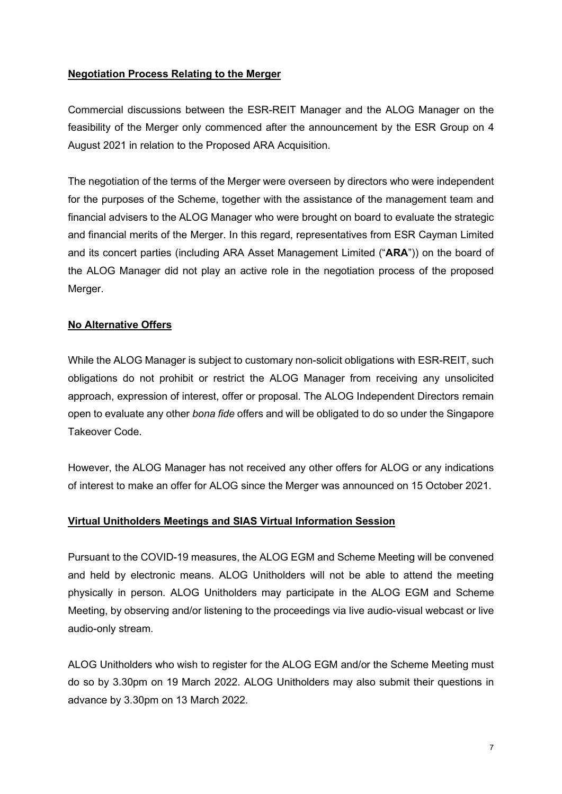#### **Negotiation Process Relating to the Merger**

Commercial discussions between the ESR-REIT Manager and the ALOG Manager on the feasibility of the Merger only commenced after the announcement by the ESR Group on 4 August 2021 in relation to the Proposed ARA Acquisition.

The negotiation of the terms of the Merger were overseen by directors who were independent for the purposes of the Scheme, together with the assistance of the management team and financial advisers to the ALOG Manager who were brought on board to evaluate the strategic and financial merits of the Merger. In this regard, representatives from ESR Cayman Limited and its concert parties (including ARA Asset Management Limited ("**ARA**")) on the board of the ALOG Manager did not play an active role in the negotiation process of the proposed Merger.

#### **No Alternative Offers**

While the ALOG Manager is subject to customary non-solicit obligations with ESR-REIT, such obligations do not prohibit or restrict the ALOG Manager from receiving any unsolicited approach, expression of interest, offer or proposal. The ALOG Independent Directors remain open to evaluate any other *bona fide* offers and will be obligated to do so under the Singapore Takeover Code.

However, the ALOG Manager has not received any other offers for ALOG or any indications of interest to make an offer for ALOG since the Merger was announced on 15 October 2021.

#### **Virtual Unitholders Meetings and SIAS Virtual Information Session**

Pursuant to the COVID-19 measures, the ALOG EGM and Scheme Meeting will be convened and held by electronic means. ALOG Unitholders will not be able to attend the meeting physically in person. ALOG Unitholders may participate in the ALOG EGM and Scheme Meeting, by observing and/or listening to the proceedings via live audio-visual webcast or live audio-only stream.

ALOG Unitholders who wish to register for the ALOG EGM and/or the Scheme Meeting must do so by 3.30pm on 19 March 2022. ALOG Unitholders may also submit their questions in advance by 3.30pm on 13 March 2022.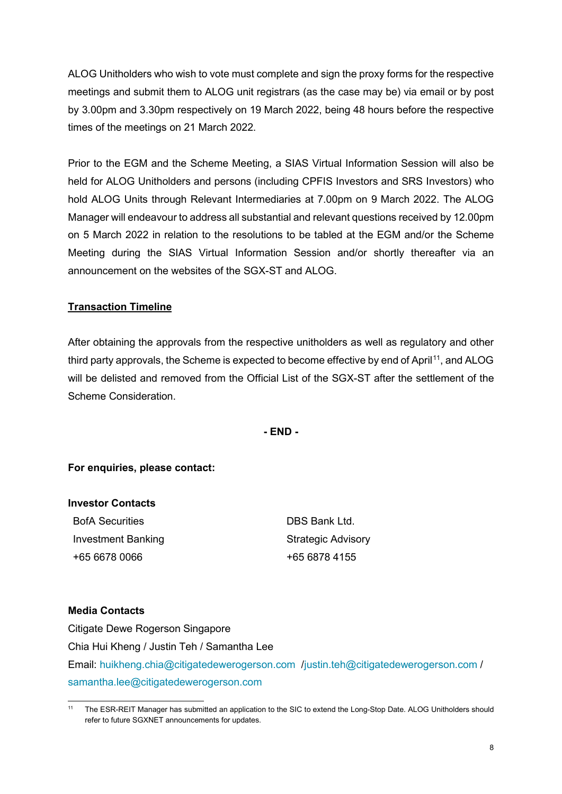ALOG Unitholders who wish to vote must complete and sign the proxy forms for the respective meetings and submit them to ALOG unit registrars (as the case may be) via email or by post by 3.00pm and 3.30pm respectively on 19 March 2022, being 48 hours before the respective times of the meetings on 21 March 2022.

Prior to the EGM and the Scheme Meeting, a SIAS Virtual Information Session will also be held for ALOG Unitholders and persons (including CPFIS Investors and SRS Investors) who hold ALOG Units through Relevant Intermediaries at 7.00pm on 9 March 2022. The ALOG Manager will endeavour to address all substantial and relevant questions received by 12.00pm on 5 March 2022 in relation to the resolutions to be tabled at the EGM and/or the Scheme Meeting during the SIAS Virtual Information Session and/or shortly thereafter via an announcement on the websites of the SGX-ST and ALOG.

### **Transaction Timeline**

After obtaining the approvals from the respective unitholders as well as regulatory and other third party approvals, the Scheme is expected to become effective by end of April<sup>[11](#page-7-0)</sup>, and ALOG will be delisted and removed from the Official List of the SGX-ST after the settlement of the Scheme Consideration.

**- END -**

#### **For enquiries, please contact:**

| <b>Investor Contacts</b>  |                           |
|---------------------------|---------------------------|
| <b>BofA Securities</b>    | DBS Bank Ltd              |
| <b>Investment Banking</b> | <b>Strategic Advisory</b> |
| +65 6678 0066             | +65 6878 4155             |

#### **Media Contacts**

Citigate Dewe Rogerson Singapore Chia Hui Kheng / Justin Teh / Samantha Lee Email: [huikheng.chia@citigatedewerogerson.com](mailto:huikheng.chia@citigatedewerogerson.com) [/justin.teh@citigatedewerogerson.com](mailto:justin.teh@citigatedewerogerson.com) / [samantha.lee@citigatedewerogerson.com](mailto:samantha.lee@citigatedewerogerson.com)

<span id="page-7-0"></span><sup>11</sup> The ESR-REIT Manager has submitted an application to the SIC to extend the Long-Stop Date. ALOG Unitholders should refer to future SGXNET announcements for updates.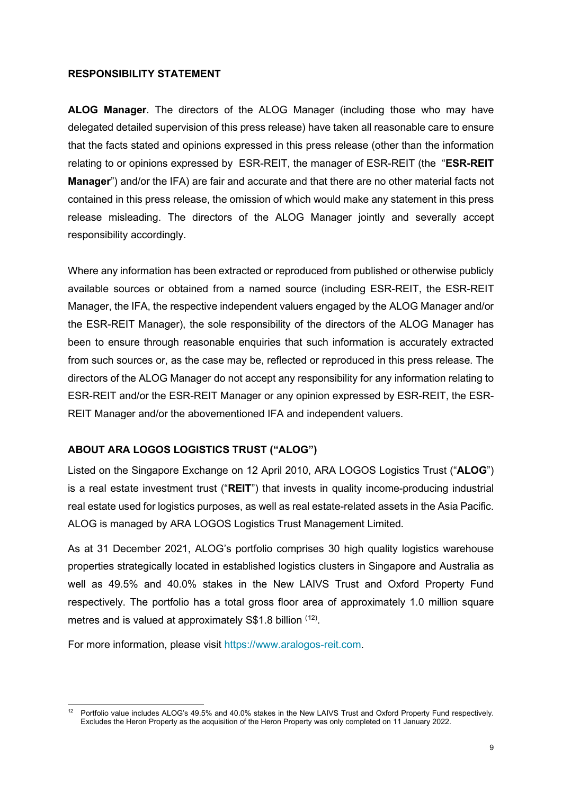#### **RESPONSIBILITY STATEMENT**

**ALOG Manager**. The directors of the ALOG Manager (including those who may have delegated detailed supervision of this press release) have taken all reasonable care to ensure that the facts stated and opinions expressed in this press release (other than the information relating to or opinions expressed by ESR-REIT, the manager of ESR-REIT (the "**ESR-REIT Manager**") and/or the IFA) are fair and accurate and that there are no other material facts not contained in this press release, the omission of which would make any statement in this press release misleading. The directors of the ALOG Manager jointly and severally accept responsibility accordingly.

Where any information has been extracted or reproduced from published or otherwise publicly available sources or obtained from a named source (including ESR-REIT, the ESR-REIT Manager, the IFA, the respective independent valuers engaged by the ALOG Manager and/or the ESR-REIT Manager), the sole responsibility of the directors of the ALOG Manager has been to ensure through reasonable enquiries that such information is accurately extracted from such sources or, as the case may be, reflected or reproduced in this press release. The directors of the ALOG Manager do not accept any responsibility for any information relating to ESR-REIT and/or the ESR-REIT Manager or any opinion expressed by ESR-REIT, the ESR-REIT Manager and/or the abovementioned IFA and independent valuers.

## **ABOUT ARA LOGOS LOGISTICS TRUST ("ALOG")**

Listed on the Singapore Exchange on 12 April 2010, ARA LOGOS Logistics Trust ("**ALOG**") is a real estate investment trust ("**REIT**") that invests in quality income-producing industrial real estate used for logistics purposes, as well as real estate-related assets in the Asia Pacific. ALOG is managed by ARA LOGOS Logistics Trust Management Limited.

As at 31 December 2021, ALOG's portfolio comprises 30 high quality logistics warehouse properties strategically located in established logistics clusters in Singapore and Australia as well as 49.5% and 40.0% stakes in the New LAIVS Trust and Oxford Property Fund respectively. The portfolio has a total gross floor area of approximately 1.0 million square metres and is valued at approximately  $\textsf{S$1.8}$  billion  $^{(12)}$  $^{(12)}$  $^{(12)}$ .

For more information, please visit https://www.aralogos-reit.com.

<span id="page-8-0"></span><sup>&</sup>lt;sup>12</sup> Portfolio value includes ALOG's 49.5% and 40.0% stakes in the New LAIVS Trust and Oxford Property Fund respectively. Excludes the Heron Property as the acquisition of the Heron Property was only completed on 11 January 2022.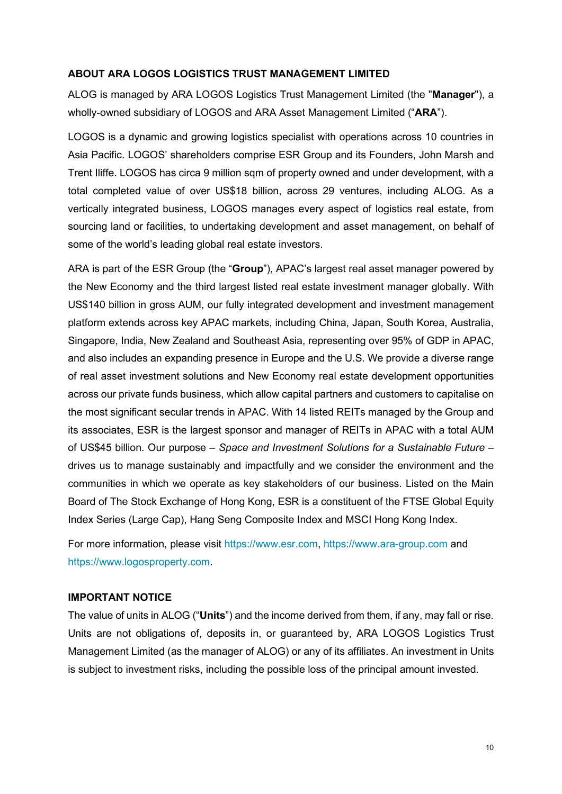#### **ABOUT ARA LOGOS LOGISTICS TRUST MANAGEMENT LIMITED**

ALOG is managed by ARA LOGOS Logistics Trust Management Limited (the "**Manager**"), a wholly-owned subsidiary of LOGOS and ARA Asset Management Limited ("**ARA**").

LOGOS is a dynamic and growing logistics specialist with operations across 10 countries in Asia Pacific. LOGOS' shareholders comprise ESR Group and its Founders, John Marsh and Trent Iliffe. LOGOS has circa 9 million sqm of property owned and under development, with a total completed value of over US\$18 billion, across 29 ventures, including ALOG. As a vertically integrated business, LOGOS manages every aspect of logistics real estate, from sourcing land or facilities, to undertaking development and asset management, on behalf of some of the world's leading global real estate investors.

ARA is part of the ESR Group (the "**Group**"), APAC's largest real asset manager powered by the New Economy and the third largest listed real estate investment manager globally. With US\$140 billion in gross AUM, our fully integrated development and investment management platform extends across key APAC markets, including China, Japan, South Korea, Australia, Singapore, India, New Zealand and Southeast Asia, representing over 95% of GDP in APAC, and also includes an expanding presence in Europe and the U.S. We provide a diverse range of real asset investment solutions and New Economy real estate development opportunities across our private funds business, which allow capital partners and customers to capitalise on the most significant secular trends in APAC. With 14 listed REITs managed by the Group and its associates, ESR is the largest sponsor and manager of REITs in APAC with a total AUM of US\$45 billion. Our purpose – *Space and Investment Solutions for a Sustainable Future* – drives us to manage sustainably and impactfully and we consider the environment and the communities in which we operate as key stakeholders of our business. Listed on the Main Board of The Stock Exchange of Hong Kong, ESR is a constituent of the FTSE Global Equity Index Series (Large Cap), Hang Seng Composite Index and MSCI Hong Kong Index.

For more information, please visit [https://www.esr.com,](https://www.esr.com/) [https://www.ara-group.com](https://www.ara-group.com/) and [https://www.logosproperty.com.](https://www.logosproperty.com/)

#### **IMPORTANT NOTICE**

The value of units in ALOG ("**Units**") and the income derived from them, if any, may fall or rise. Units are not obligations of, deposits in, or guaranteed by, ARA LOGOS Logistics Trust Management Limited (as the manager of ALOG) or any of its affiliates. An investment in Units is subject to investment risks, including the possible loss of the principal amount invested.